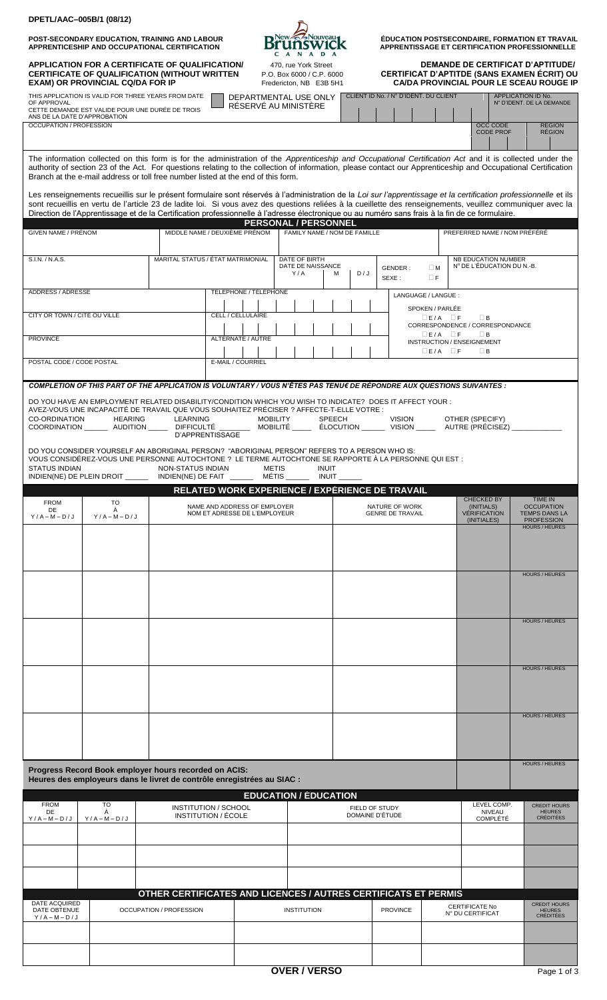| DPETL/AAC-005B/1 (08/12)                                                                                                                               |                 |                                                                                                                                                                                                                                                                                                                                                                                                              |                                                               |                                                                              |               |                                                                                                                                           |                                                                                          |                                                                                                         |                                                      |  |
|--------------------------------------------------------------------------------------------------------------------------------------------------------|-----------------|--------------------------------------------------------------------------------------------------------------------------------------------------------------------------------------------------------------------------------------------------------------------------------------------------------------------------------------------------------------------------------------------------------------|---------------------------------------------------------------|------------------------------------------------------------------------------|---------------|-------------------------------------------------------------------------------------------------------------------------------------------|------------------------------------------------------------------------------------------|---------------------------------------------------------------------------------------------------------|------------------------------------------------------|--|
|                                                                                                                                                        |                 | POST-SECONDARY EDUCATION, TRAINING AND LABOUR<br>APPRENTICESHIP AND OCCUPATIONAL CERTIFICATION                                                                                                                                                                                                                                                                                                               |                                                               | New A Nouveau<br><b>Drunswick</b><br>CANADA                                  |               |                                                                                                                                           |                                                                                          | ÉDUCATION POSTSECONDAIRE, FORMATION ET TRAVAIL<br><b>APPRENTISSAGE ET CERTIFICATION PROFESSIONNELLE</b> |                                                      |  |
| APPLICATION FOR A CERTIFICATE OF QUALIFICATION/<br><b>CERTIFICATE OF QUALIFICATION (WITHOUT WRITTEN</b><br>EXAM) OR PROVINCIAL CQ/DA FOR IP            |                 |                                                                                                                                                                                                                                                                                                                                                                                                              |                                                               | 470, rue York Street<br>P.O. Box 6000 / C.P. 6000<br>Fredericton, NB E3B 5H1 |               | <b>DEMANDE DE CERTIFICAT D'APTITUDE/</b><br>CERTIFICAT D'APTITDE (SANS EXAMEN ÉCRIT) OU<br><b>CA/DA PROVINCIAL POUR LE SCEAU ROUGE IP</b> |                                                                                          |                                                                                                         |                                                      |  |
| THIS APPLICATION IS VALID FOR THREE YEARS FROM DATE<br>OF APPROVAL<br>CETTE DEMANDE EST VALIDE POUR UNE DURÉE DE TROIS<br>ANS DE LA DATE D'APPROBATION |                 |                                                                                                                                                                                                                                                                                                                                                                                                              |                                                               | DEPARTMENTAL USE ONLY<br>RÉSERVÉ AU MINISTÈRE                                |               |                                                                                                                                           | CLIENT ID No. / N° D'IDENT. DU CLIENT<br>APPLICATION ID No.<br>N° D'IDENT. DE LA DEMANDE |                                                                                                         |                                                      |  |
| <b>OCCUPATION / PROFESSION</b>                                                                                                                         |                 |                                                                                                                                                                                                                                                                                                                                                                                                              |                                                               |                                                                              |               |                                                                                                                                           |                                                                                          | <b>OCC CODE</b><br><b>CODE PROF</b>                                                                     | <b>REGION</b><br><b>RÉGION</b>                       |  |
|                                                                                                                                                        |                 | The information collected on this form is for the administration of the Apprenticeship and Occupational Certification Act and it is collected under the<br>authority of section 23 of the Act. For questions relating to the collection of information, please contact our Apprenticeship and Occupational Certification<br>Branch at the e-mail address or toll free number listed at the end of this form. |                                                               |                                                                              |               |                                                                                                                                           |                                                                                          |                                                                                                         |                                                      |  |
|                                                                                                                                                        |                 | Les renseignements recueillis sur le présent formulaire sont réservés à l'administration de la Loi sur l'apprentissage et la certification professionnelle et ils<br>sont recueillis en vertu de l'article 23 de ladite loi. Si vous avez des questions reliées à la cueillette des renseignements, veuillez communiquer avec la                                                                             |                                                               |                                                                              |               |                                                                                                                                           |                                                                                          |                                                                                                         |                                                      |  |
|                                                                                                                                                        |                 | Direction de l'Apprentissage et de la Certification professionnelle à l'adresse électronique ou au numéro sans frais à la fin de ce formulaire.                                                                                                                                                                                                                                                              |                                                               | <b>PERSONAL / PERSONNEL</b>                                                  |               |                                                                                                                                           |                                                                                          |                                                                                                         |                                                      |  |
| GIVEN NAME / PRÉNOM                                                                                                                                    |                 | MIDDLE NAME / DEUXIÈME PRÉNOM                                                                                                                                                                                                                                                                                                                                                                                |                                                               | FAMILY NAME / NOM DE FAMILLE                                                 |               |                                                                                                                                           |                                                                                          | PREFERRED NAME / NOM PRÉFÉRÉ                                                                            |                                                      |  |
| S.I.N. / N.A.S.                                                                                                                                        |                 | MARITAL STATUS / ÉTAT MATRIMONIAL                                                                                                                                                                                                                                                                                                                                                                            |                                                               | DATE OF BIRTH<br>DATE DE NAISSANCE<br>Y/A                                    | D/J<br>м      | GENDER:                                                                                                                                   | $\square$ M                                                                              | NB EDUCATION NUMBER<br>N° DE L'ÉDUCATION DU N.-B.                                                       |                                                      |  |
| ADDRESS / ADRESSE                                                                                                                                      |                 |                                                                                                                                                                                                                                                                                                                                                                                                              | TELEPHONE / TÉLÉPHONE                                         |                                                                              |               | SEXE:<br>LANGUAGE / LANGUE:                                                                                                               | $\Box F$                                                                                 |                                                                                                         |                                                      |  |
| CITY OR TOWN / CITÉ OU VILLE                                                                                                                           |                 |                                                                                                                                                                                                                                                                                                                                                                                                              | <b>CELL / CELLULAIRE</b>                                      |                                                                              |               |                                                                                                                                           | SPOKEN / PARLÉE                                                                          |                                                                                                         |                                                      |  |
|                                                                                                                                                        |                 |                                                                                                                                                                                                                                                                                                                                                                                                              |                                                               |                                                                              |               |                                                                                                                                           | $E/A$ $F$<br>$E/A$ $F$                                                                   | $\Box$ B<br>CORRESPONDENCE / CORRESPONDANCE<br>$\Box$ B                                                 |                                                      |  |
| <b>PROVINCE</b>                                                                                                                                        |                 |                                                                                                                                                                                                                                                                                                                                                                                                              | ALTERNATE / AUTRE                                             |                                                                              |               |                                                                                                                                           | $E/A$ $E$                                                                                | INSTRUCTION / ENSEIGNEMENT<br>$\Box$ B                                                                  |                                                      |  |
| POSTAL CODE / CODE POSTAL                                                                                                                              |                 |                                                                                                                                                                                                                                                                                                                                                                                                              | E-MAIL / COURRIEL                                             |                                                                              |               |                                                                                                                                           |                                                                                          |                                                                                                         |                                                      |  |
|                                                                                                                                                        |                 | COMPLETION OF THIS PART OF THE APPLICATION IS VOLUNTARY / VOUS N'ÊTES PAS TENU€ DE RÉPONDRE AUX QUESTIONS SUIVANTES :                                                                                                                                                                                                                                                                                        |                                                               |                                                                              |               |                                                                                                                                           |                                                                                          |                                                                                                         |                                                      |  |
|                                                                                                                                                        |                 | DO YOU HAVE AN EMPLOYMENT RELATED DISABILITY/CONDITION WHICH YOU WISH TO INDICATE? DOES IT AFFECT YOUR:<br>AVEZ-VOUS UNE INCAPACITÉ DE TRAVAIL QUE VOUS SOUHAITEZ PRÉCISER ? AFFECTE-T-ELLE VOTRE :                                                                                                                                                                                                          |                                                               |                                                                              |               |                                                                                                                                           |                                                                                          |                                                                                                         |                                                      |  |
| <b>CO-ORDINATION</b>                                                                                                                                   | <b>HEARING</b>  | <b>LEARNING</b><br>COORDINATION _________ AUDITION _______ DIFFICULTÉ<br>D'APPRENTISSAGE                                                                                                                                                                                                                                                                                                                     | <b>MOBILITY</b>                                               |                                                                              | <b>SPEECH</b> | <b>VISION</b><br>MOBILITÉ ELOCUTION VISION                                                                                                |                                                                                          | OTHER (SPECIFY)<br>AUTRE (PRÉCISEZ)                                                                     |                                                      |  |
|                                                                                                                                                        |                 | DO YOU CONSIDER YOURSELF AN ABORIGINAL PERSON? "ABORIGINAL PERSON" REFERS TO A PERSON WHO IS:                                                                                                                                                                                                                                                                                                                |                                                               |                                                                              |               |                                                                                                                                           |                                                                                          |                                                                                                         |                                                      |  |
| <b>STATUS INDIAN</b>                                                                                                                                   |                 | VOUS CONSIDÉREZ-VOUS UNE PERSONNE AUTOCHTONE ? LE TERME AUTOCHTONE SE RAPPORTE À LA PERSONNE QUI EST :<br>NON-STATUS INDIAN                                                                                                                                                                                                                                                                                  | <b>METIS</b>                                                  | <b>INUIT</b>                                                                 |               |                                                                                                                                           |                                                                                          |                                                                                                         |                                                      |  |
| INDIEN(NE) DE PLEIN DROIT                                                                                                                              |                 | INDIEN(NE) DE FAIT<br>RELATED WORK EXPERIENCE / EXPÉRIENCE DE TRAVAIL                                                                                                                                                                                                                                                                                                                                        | <b>MÉTIS</b>                                                  | <b>INUIT</b>                                                                 |               |                                                                                                                                           |                                                                                          |                                                                                                         |                                                      |  |
| <b>FROM</b><br>DE                                                                                                                                      | <b>TO</b><br>À  |                                                                                                                                                                                                                                                                                                                                                                                                              | NAME AND ADDRESS OF EMPLOYER<br>NOM ET ADRESSE DE L'EMPLOYEUR |                                                                              |               | NATURE OF WORK<br><b>GENRE DE TRAVAIL</b>                                                                                                 |                                                                                          | <b>CHECKED BY</b><br>(INITIALS)<br><b>VÉRIFICATION</b>                                                  | TIME IN<br><b>OCCUPATION</b><br><b>TEMPS DANS LA</b> |  |
| $Y/A - M - D/J$                                                                                                                                        | $Y/A - M - D/J$ |                                                                                                                                                                                                                                                                                                                                                                                                              |                                                               |                                                                              |               |                                                                                                                                           |                                                                                          | (INITIALES)                                                                                             | <b>PROFESSION</b><br><b>HOURS / HEURES</b>           |  |
|                                                                                                                                                        |                 |                                                                                                                                                                                                                                                                                                                                                                                                              |                                                               |                                                                              |               |                                                                                                                                           |                                                                                          |                                                                                                         |                                                      |  |
|                                                                                                                                                        |                 |                                                                                                                                                                                                                                                                                                                                                                                                              |                                                               |                                                                              |               |                                                                                                                                           |                                                                                          |                                                                                                         | <b>HOURS / HEURES</b>                                |  |
|                                                                                                                                                        |                 |                                                                                                                                                                                                                                                                                                                                                                                                              |                                                               |                                                                              |               |                                                                                                                                           |                                                                                          |                                                                                                         |                                                      |  |
|                                                                                                                                                        |                 |                                                                                                                                                                                                                                                                                                                                                                                                              |                                                               |                                                                              |               |                                                                                                                                           |                                                                                          |                                                                                                         |                                                      |  |
|                                                                                                                                                        |                 |                                                                                                                                                                                                                                                                                                                                                                                                              |                                                               |                                                                              |               |                                                                                                                                           |                                                                                          |                                                                                                         | <b>HOURS / HEURES</b>                                |  |
|                                                                                                                                                        |                 |                                                                                                                                                                                                                                                                                                                                                                                                              |                                                               |                                                                              |               |                                                                                                                                           |                                                                                          |                                                                                                         |                                                      |  |
|                                                                                                                                                        |                 |                                                                                                                                                                                                                                                                                                                                                                                                              |                                                               |                                                                              |               |                                                                                                                                           |                                                                                          |                                                                                                         | <b>HOURS / HEURES</b>                                |  |
|                                                                                                                                                        |                 |                                                                                                                                                                                                                                                                                                                                                                                                              |                                                               |                                                                              |               |                                                                                                                                           |                                                                                          |                                                                                                         |                                                      |  |
|                                                                                                                                                        |                 |                                                                                                                                                                                                                                                                                                                                                                                                              |                                                               |                                                                              |               |                                                                                                                                           |                                                                                          |                                                                                                         |                                                      |  |
|                                                                                                                                                        |                 |                                                                                                                                                                                                                                                                                                                                                                                                              |                                                               |                                                                              |               |                                                                                                                                           |                                                                                          |                                                                                                         | <b>HOURS / HEURES</b>                                |  |
|                                                                                                                                                        |                 |                                                                                                                                                                                                                                                                                                                                                                                                              |                                                               |                                                                              |               |                                                                                                                                           |                                                                                          |                                                                                                         |                                                      |  |
|                                                                                                                                                        |                 | Progress Record Book employer hours recorded on ACIS:                                                                                                                                                                                                                                                                                                                                                        |                                                               |                                                                              |               |                                                                                                                                           |                                                                                          |                                                                                                         | <b>HOURS / HEURES</b>                                |  |
|                                                                                                                                                        |                 | Heures des employeurs dans le livret de contrôle enregistrées au SIAC :                                                                                                                                                                                                                                                                                                                                      |                                                               |                                                                              |               |                                                                                                                                           |                                                                                          |                                                                                                         |                                                      |  |
| <b>FROM</b><br>DE                                                                                                                                      | TO<br>À         | <b>INSTITUTION / SCHOOL</b>                                                                                                                                                                                                                                                                                                                                                                                  |                                                               | <b>EDUCATION / ÉDUCATION</b>                                                 |               | FIELD OF STUDY                                                                                                                            |                                                                                          | LEVEL COMP.<br><b>NIVEAU</b>                                                                            | <b>CREDIT HOURS</b><br><b>HEURES</b>                 |  |
| $Y/A - M - D/J$                                                                                                                                        | $Y/A - M - D/J$ | INSTITUTION / ÉCOLE                                                                                                                                                                                                                                                                                                                                                                                          |                                                               |                                                                              |               | DOMAINE D'ÉTUDE                                                                                                                           |                                                                                          | <b>COMPLÉTÉ</b>                                                                                         | <b>CRÉDITÉES</b>                                     |  |
|                                                                                                                                                        |                 |                                                                                                                                                                                                                                                                                                                                                                                                              |                                                               |                                                                              |               |                                                                                                                                           |                                                                                          |                                                                                                         |                                                      |  |
|                                                                                                                                                        |                 |                                                                                                                                                                                                                                                                                                                                                                                                              |                                                               |                                                                              |               |                                                                                                                                           |                                                                                          |                                                                                                         |                                                      |  |
|                                                                                                                                                        |                 |                                                                                                                                                                                                                                                                                                                                                                                                              |                                                               |                                                                              |               |                                                                                                                                           |                                                                                          |                                                                                                         |                                                      |  |
| DATE ACQUIRED<br>DATE OBTENUE                                                                                                                          |                 | OTHER CERTIFICATES AND LICENCES / AUTRES CERTIFICATS ET PERMIS<br><b>OCCUPATION / PROFESSION</b>                                                                                                                                                                                                                                                                                                             |                                                               | <b>INSTITUTION</b>                                                           |               | <b>PROVINCE</b>                                                                                                                           |                                                                                          | <b>CERTIFICATE No</b>                                                                                   | <b>CREDIT HOURS</b><br><b>HEURES</b>                 |  |
| $Y/A - M - D/J$                                                                                                                                        |                 |                                                                                                                                                                                                                                                                                                                                                                                                              |                                                               |                                                                              |               |                                                                                                                                           |                                                                                          | N° DU CERTIFICAT                                                                                        | <b>CRÉDITÉES</b>                                     |  |
|                                                                                                                                                        |                 |                                                                                                                                                                                                                                                                                                                                                                                                              |                                                               |                                                                              |               |                                                                                                                                           |                                                                                          |                                                                                                         |                                                      |  |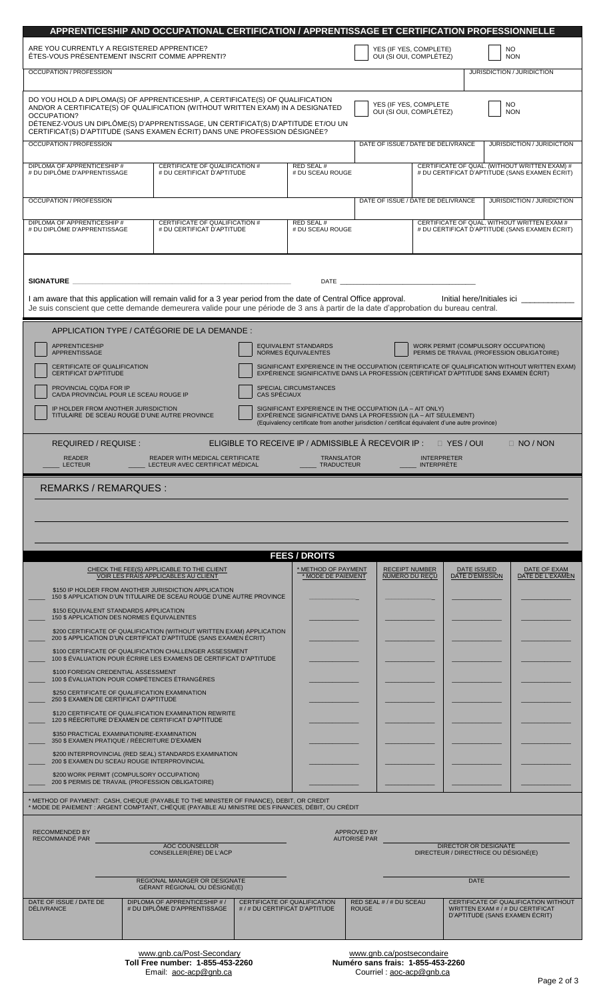| ARE YOU CURRENTLY A REGISTERED APPRENTICE?                                                                                                                                                                                                                                                                                                                                                                                 |                                                                                                                                                                                                     |                                                                                                 |                                                                                       |                                    | APPRENTICESHIP AND OCCUPATIONAL CERTIFICATION / APPRENTISSAGE ET CERTIFICATION PROFESSIONNELLE<br>YES (IF YES, COMPLETE) |  |                                      | NO. |                                                                                                            |
|----------------------------------------------------------------------------------------------------------------------------------------------------------------------------------------------------------------------------------------------------------------------------------------------------------------------------------------------------------------------------------------------------------------------------|-----------------------------------------------------------------------------------------------------------------------------------------------------------------------------------------------------|-------------------------------------------------------------------------------------------------|---------------------------------------------------------------------------------------|------------------------------------|--------------------------------------------------------------------------------------------------------------------------|--|--------------------------------------|-----|------------------------------------------------------------------------------------------------------------|
| ÊTES-VOUS PRÉSENTEMENT INSCRIT COMME APPRENTI?                                                                                                                                                                                                                                                                                                                                                                             |                                                                                                                                                                                                     |                                                                                                 |                                                                                       |                                    | OUI (SI OUI, COMPLÉTEZ)                                                                                                  |  |                                      |     | <b>NON</b>                                                                                                 |
| OCCUPATION / PROFESSION<br>JURISDICTION / JURIDICTION                                                                                                                                                                                                                                                                                                                                                                      |                                                                                                                                                                                                     |                                                                                                 |                                                                                       |                                    |                                                                                                                          |  |                                      |     |                                                                                                            |
| DO YOU HOLD A DIPLOMA(S) OF APPRENTICESHIP, A CERTIFICATE(S) OF QUALIFICATION<br>YES (IF YES, COMPLETE<br>NO.<br>AND/OR A CERTIFICATE(S) OF QUALIFICATION (WITHOUT WRITTEN EXAM) IN A DESIGNATED<br>OUI (SI OUI, COMPLÉTEZ)<br><b>NON</b><br>OCCUPATION?<br>DÉTENEZ-VOUS UN DIPLÔME(S) D'APPRENTISSAGE, UN CERTIFICAT(S) D'APTITUDE ET/OU UN<br>CERTIFICAT(S) D'APTITUDE (SANS EXAMEN ÉCRIT) DANS UNE PROFESSION DÉSIGNÉE? |                                                                                                                                                                                                     |                                                                                                 |                                                                                       |                                    |                                                                                                                          |  |                                      |     |                                                                                                            |
| <b>OCCUPATION / PROFESSION</b><br>DATE OF ISSUE / DATE DE DÉLIVRANCE<br>JURISDICTION / JURIDICTION                                                                                                                                                                                                                                                                                                                         |                                                                                                                                                                                                     |                                                                                                 |                                                                                       |                                    |                                                                                                                          |  |                                      |     |                                                                                                            |
| DIPLOMA OF APPRENTICESHIP #<br># DU DIPLÔME D'APPRENTISSAGE                                                                                                                                                                                                                                                                                                                                                                | RED SEAL #<br># DU SCEAU ROUGE                                                                                                                                                                      | CERTIFICATE OF QUAL. (WITHOUT WRITTEN EXAM) #<br># DU CERTIFICAT D'APTITUDE (SANS EXAMEN ÉCRIT) |                                                                                       |                                    |                                                                                                                          |  |                                      |     |                                                                                                            |
| <b>OCCUPATION / PROFESSION</b>                                                                                                                                                                                                                                                                                                                                                                                             |                                                                                                                                                                                                     |                                                                                                 |                                                                                       |                                    | DATE OF ISSUE / DATE DE DÉLIVRANCE                                                                                       |  |                                      |     | JURISDICTION / JURIDICTION                                                                                 |
| DIPLOMA OF APPRENTICESHIP #<br># DU DIPLÔME D'APPRENTISSAGE                                                                                                                                                                                                                                                                                                                                                                | RED SEAL #<br># DU SCEAU ROUGE                                                                                                                                                                      |                                                                                                 |                                                                                       |                                    | CERTIFICATE OF QUAL. WITHOUT WRITTEN EXAM #<br># DU CERTIFICAT D'APTITUDE (SANS EXAMEN ÉCRIT)                            |  |                                      |     |                                                                                                            |
| DATE <b>DATE</b><br>SIGNATURE<br>I am aware that this application will remain valid for a 3 year period from the date of Central Office approval.<br>Initial here/Initiales ici ____________<br>Je suis conscient que cette demande demeurera valide pour une période de 3 ans à partir de la date d'approbation du bureau central.                                                                                        |                                                                                                                                                                                                     |                                                                                                 |                                                                                       |                                    |                                                                                                                          |  |                                      |     |                                                                                                            |
|                                                                                                                                                                                                                                                                                                                                                                                                                            | APPLICATION TYPE / CATÉGORIE DE LA DEMANDE :                                                                                                                                                        |                                                                                                 |                                                                                       |                                    |                                                                                                                          |  |                                      |     |                                                                                                            |
| <b>APPRENTICESHIP</b><br>APPRENTISSAGE                                                                                                                                                                                                                                                                                                                                                                                     |                                                                                                                                                                                                     |                                                                                                 | <b>EQUIVALENT STANDARDS</b><br>NORMES ÉQUIVALENTES                                    |                                    |                                                                                                                          |  | WORK PERMIT (COMPULSORY OCCUPATION)  |     | PERMIS DE TRAVAIL (PROFESSION OBLIGATOIRE)                                                                 |
| CERTIFICATE OF QUALIFICATION<br><b>CERTIFICAT D'APTITUDE</b>                                                                                                                                                                                                                                                                                                                                                               |                                                                                                                                                                                                     |                                                                                                 | EXPÉRIENCE SIGNIFICATIVE DANS LA PROFESSION (CERTIFICAT D'APTITUDE SANS EXAMEN ÉCRIT) |                                    |                                                                                                                          |  |                                      |     | SIGNIFICANT EXPERIENCE IN THE OCCUPATION (CERTIFICATE OF QUALIFICATION WITHOUT WRITTEN EXAM)               |
| PROVINCIAL CQ/DA FOR IP<br>CA/DA PROVINCIAL POUR LE SCEAU ROUGE IP                                                                                                                                                                                                                                                                                                                                                         |                                                                                                                                                                                                     | CAS SPÉCIAUX                                                                                    | SPECIAL CIRCUMSTANCES                                                                 |                                    |                                                                                                                          |  |                                      |     |                                                                                                            |
| IP HOLDER FROM ANOTHER JURISDICTION<br>SIGNIFICANT EXPERIENCE IN THE OCCUPATION (LA - AIT ONLY)<br>TITULAIRE DE SCEAU ROUGE D'UNE AUTRE PROVINCE<br>EXPÉRIENCE SIGNIFICATIVE DANS LA PROFESSION (LA - AIT SEULEMENT)<br>(Equivalency certificate from another jurisdiction / certificat équivalent d'une autre province)                                                                                                   |                                                                                                                                                                                                     |                                                                                                 |                                                                                       |                                    |                                                                                                                          |  |                                      |     |                                                                                                            |
| ELIGIBLE TO RECEIVE IP / ADMISSIBLE À RECEVOIR IP : 0 YES / OUI<br>REQUIRED / REQUISE :<br>$\Box$ NO / NON                                                                                                                                                                                                                                                                                                                 |                                                                                                                                                                                                     |                                                                                                 |                                                                                       |                                    |                                                                                                                          |  |                                      |     |                                                                                                            |
| READER WITH MEDICAL CERTIFICATE<br><b>TRANSLATOR</b><br><b>INTERPRETER</b><br><b>READER</b><br><b>LECTEUR</b><br>LECTEUR AVEC CERTIFICAT MÉDICAL<br><b>TRADUCTEUR</b><br><b>INTERPRÈTE</b>                                                                                                                                                                                                                                 |                                                                                                                                                                                                     |                                                                                                 |                                                                                       |                                    |                                                                                                                          |  |                                      |     |                                                                                                            |
| <b>REMARKS / REMARQUES:</b>                                                                                                                                                                                                                                                                                                                                                                                                |                                                                                                                                                                                                     |                                                                                                 |                                                                                       |                                    |                                                                                                                          |  |                                      |     |                                                                                                            |
|                                                                                                                                                                                                                                                                                                                                                                                                                            |                                                                                                                                                                                                     |                                                                                                 |                                                                                       |                                    |                                                                                                                          |  |                                      |     |                                                                                                            |
|                                                                                                                                                                                                                                                                                                                                                                                                                            |                                                                                                                                                                                                     |                                                                                                 |                                                                                       |                                    |                                                                                                                          |  |                                      |     |                                                                                                            |
|                                                                                                                                                                                                                                                                                                                                                                                                                            |                                                                                                                                                                                                     |                                                                                                 |                                                                                       |                                    |                                                                                                                          |  |                                      |     |                                                                                                            |
|                                                                                                                                                                                                                                                                                                                                                                                                                            |                                                                                                                                                                                                     |                                                                                                 |                                                                                       |                                    |                                                                                                                          |  |                                      |     |                                                                                                            |
|                                                                                                                                                                                                                                                                                                                                                                                                                            | CHECK THE FEE(S) APPLICABLE TO THE CLIENT                                                                                                                                                           |                                                                                                 | <b>FEES / DROITS</b><br>* METHOD OF PAYMENT                                           |                                    | <b>RECEIPT NUMBER</b>                                                                                                    |  | <b>DATE ISSUED</b>                   |     | DATE OF EXAM                                                                                               |
|                                                                                                                                                                                                                                                                                                                                                                                                                            | VOIR LES FRAIS APPLICABLES AU CLIENT<br>\$150 IP HOLDER FROM ANOTHER JURISDICTION APPLICATION                                                                                                       |                                                                                                 | * MODE DE PAIEMENT                                                                    |                                    | NUMÉRO DU RECU                                                                                                           |  | DATE D'ÉMISSION                      |     | DATE DE L'EXAMEN                                                                                           |
| \$150 EQUIVALENT STANDARDS APPLICATION                                                                                                                                                                                                                                                                                                                                                                                     | 150 \$ APPLICATION D'UN TITULAIRE DE SCEAU ROUGE D'UNE AUTRE PROVINCE                                                                                                                               |                                                                                                 |                                                                                       |                                    |                                                                                                                          |  |                                      |     |                                                                                                            |
| 150 \$ APPLICATION DES NORMES ÉQUIVALENTES                                                                                                                                                                                                                                                                                                                                                                                 | \$200 CERTIFICATE OF QUALIFICATION (WITHOUT WRITTEN EXAM) APPLICATION                                                                                                                               |                                                                                                 |                                                                                       |                                    |                                                                                                                          |  |                                      |     |                                                                                                            |
|                                                                                                                                                                                                                                                                                                                                                                                                                            | 200 \$ APPLICATION D'UN CERTIFICAT D'APTITUDE (SANS EXAMEN ÉCRIT)<br>\$100 CERTIFICATE OF QUALIFICATION CHALLENGER ASSESSMENT<br>100 \$ EVALUATION POUR ECRIRE LES EXAMENS DE CERTIFICAT D'APTITUDE |                                                                                                 |                                                                                       |                                    |                                                                                                                          |  |                                      |     |                                                                                                            |
| \$100 FOREIGN CREDENTIAL ASSESSMENT<br>100 \$ EVALUATION POUR COMPÉTENCES ETRANGERES                                                                                                                                                                                                                                                                                                                                       |                                                                                                                                                                                                     |                                                                                                 |                                                                                       |                                    |                                                                                                                          |  |                                      |     |                                                                                                            |
| \$250 CERTIFICATE OF QUALIFICATION EXAMINATION<br>250 \$ EXAMEN DE CERTIFICAT D'APTITUDE                                                                                                                                                                                                                                                                                                                                   |                                                                                                                                                                                                     |                                                                                                 |                                                                                       |                                    |                                                                                                                          |  |                                      |     |                                                                                                            |
|                                                                                                                                                                                                                                                                                                                                                                                                                            | \$120 CERTIFICATE OF QUALIFICATION EXAMINATION REWRITE<br>120 \$ RÉECRITURE D'EXAMEN DE CERTIFICAT D'APTITUDE                                                                                       |                                                                                                 |                                                                                       |                                    |                                                                                                                          |  |                                      |     |                                                                                                            |
| \$350 PRACTICAL EXAMINATION/RE-EXAMINATION<br>350 \$ EXAMEN PRATIQUE / RÉECRITURE D'EXAMEN                                                                                                                                                                                                                                                                                                                                 |                                                                                                                                                                                                     |                                                                                                 |                                                                                       |                                    |                                                                                                                          |  |                                      |     |                                                                                                            |
| 200 \$ EXAMEN DU SCEAU ROUGE INTERPROVINCIAL                                                                                                                                                                                                                                                                                                                                                                               | \$200 INTERPROVINCIAL (RED SEAL) STANDARDS EXAMINATION                                                                                                                                              |                                                                                                 |                                                                                       |                                    |                                                                                                                          |  |                                      |     |                                                                                                            |
| \$200 WORK PERMIT (COMPULSORY OCCUPATION)<br>200 \$ PERMIS DE TRAVAIL (PROFESSION OBLIGATOIRE)                                                                                                                                                                                                                                                                                                                             |                                                                                                                                                                                                     |                                                                                                 |                                                                                       |                                    |                                                                                                                          |  |                                      |     |                                                                                                            |
| * METHOD OF PAYMENT: CASH, CHEQUE (PAYABLE TO THE MINISTER OF FINANCE), DEBIT, OR CREDIT                                                                                                                                                                                                                                                                                                                                   |                                                                                                                                                                                                     |                                                                                                 |                                                                                       |                                    |                                                                                                                          |  |                                      |     |                                                                                                            |
| MODE DE PAIEMENT : ARGENT COMPTANT, CHÉQUE (PAYABLE AU MINISTRE DES FINANCES, DÉBIT, OU CRÉDIT                                                                                                                                                                                                                                                                                                                             |                                                                                                                                                                                                     |                                                                                                 |                                                                                       |                                    |                                                                                                                          |  |                                      |     |                                                                                                            |
| RECOMMENDED BY<br>RECOMMANDÉ PAR                                                                                                                                                                                                                                                                                                                                                                                           | <b>AOC COUNSELLOR</b>                                                                                                                                                                               |                                                                                                 |                                                                                       | <b>APPROVED BY</b><br>AUTORISÉ PAR |                                                                                                                          |  | <b>DIRECTOR OR DESIGNATE</b>         |     |                                                                                                            |
|                                                                                                                                                                                                                                                                                                                                                                                                                            | CONSEILLER(ERE) DE L'ACP                                                                                                                                                                            |                                                                                                 |                                                                                       |                                    |                                                                                                                          |  | DIRECTEUR / DIRECTRICE OU DESIGNÉ(E) |     |                                                                                                            |
|                                                                                                                                                                                                                                                                                                                                                                                                                            | <b>REGIONAL MANAGER OR DESIGNATE</b><br>GÉRANT RÉGIONAL OU DÉSIGNÉ(E)                                                                                                                               |                                                                                                 |                                                                                       |                                    |                                                                                                                          |  | <b>DATE</b>                          |     |                                                                                                            |
| DATE OF ISSUE / DATE DE<br><b>DÉLIVRANCE</b>                                                                                                                                                                                                                                                                                                                                                                               | DIPLOMA OF APPRENTICESHIP #/<br># DU DIPLÔME D'APPRENTISSAGE                                                                                                                                        |                                                                                                 | <b>CERTIFICATE OF QUALIFICATION</b><br>#/#DU CERTIFICAT D'APTITUDE                    | <b>ROUGE</b>                       | RED SEAL # / # DU SCEAU                                                                                                  |  |                                      |     | CERTIFICATE OF QUALIFICATION WITHOUT<br>WRITTEN EXAM # / # DU CERTIFICAT<br>D'APTITUDE (SANS EXAMEN ÉCRIT) |